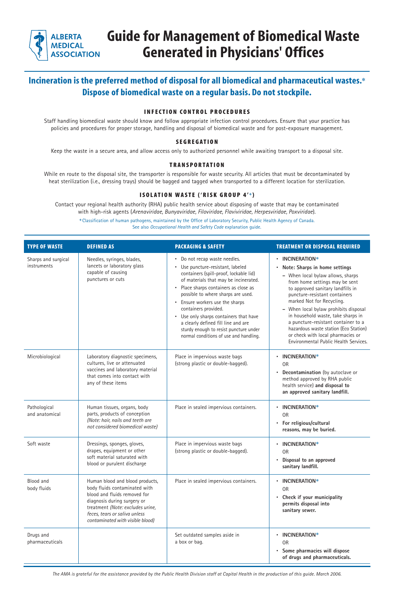## **Incineration is the preferred method of disposal for all biomedical and pharmaceutical wastes.**✽ **Dispose of biomedical waste on a regular basis. Do not stockpile.**

### **INFECTION CONTROL PROCEDURES**

Staff handling biomedical waste should know and follow appropriate infection control procedures. Ensure that your practice has policies and procedures for proper storage, handling and disposal of biomedical waste and for post-exposure management.

#### **SEGREGATION**

Keep the waste in a secure area, and allow access only to authorized personnel while awaiting transport to a disposal site.

#### **TRANSPORTATION**

While en route to the disposal site, the transporter is responsible for waste security. All articles that must be decontaminated by heat sterilization (i.e., dressing trays) should be bagged and tagged when transported to a different location for sterilization.

### **ISOLATION WASTE ('RISK GROUP 4'+)**

Contact your regional health authority (RHA) public health service about disposing of waste that may be contaminated with high-risk agents (*Arenaviridae, Bunyaviridae, Filoviridae, Flaviviridae, Herpesviridae, Poxviridae*).

**+**Classification of human pathogens, maintained by the Office of Laboratory Security, Public Health Agency of Canada. See also *Occupational Health and Safety Code* explanation guide.

| <b>TYPE OF WASTE</b>               | <b>DEFINED AS</b>                                                                                                                                                                                                                        | <b>PACKAGING &amp; SAFETY</b>                                                                                                                                                                                                                                                                                                                                                                                                                                               | <b>TREATMENT OR DISPOSAL REQUIRED</b>                                                                                                                                                                                                                                                                                                                                                                                                                                              |
|------------------------------------|------------------------------------------------------------------------------------------------------------------------------------------------------------------------------------------------------------------------------------------|-----------------------------------------------------------------------------------------------------------------------------------------------------------------------------------------------------------------------------------------------------------------------------------------------------------------------------------------------------------------------------------------------------------------------------------------------------------------------------|------------------------------------------------------------------------------------------------------------------------------------------------------------------------------------------------------------------------------------------------------------------------------------------------------------------------------------------------------------------------------------------------------------------------------------------------------------------------------------|
| Sharps and surgical<br>instruments | Needles, syringes, blades,<br>lancets or laboratory glass<br>capable of causing<br>punctures or cuts                                                                                                                                     | • Do not recap waste needles.<br>• Use puncture-resistant, labeled<br>containers (spill-proof, lockable lid)<br>of materials that may be incinerated.<br>Place sharps containers as close as<br>possible to where sharps are used.<br>Ensure workers use the sharps<br>containers provided.<br>Use only sharps containers that have<br>$\bullet$<br>a clearly defined fill line and are<br>sturdy enough to resist puncture under<br>normal conditions of use and handling. | • INCINERATION*<br>Note: Sharps in home settings<br>$\bullet$<br>- When local bylaw allows, sharps<br>from home settings may be sent<br>to approved sanitary landfills in<br>puncture-resistant containers<br>marked Not for Recycling.<br>When local bylaw prohibits disposal<br>in household waste, take sharps in<br>a puncture-resistant container to a<br>hazardous waste station (Eco Station)<br>or check with local pharmacies or<br>Environmental Public Health Services. |
| Microbiological                    | Laboratory diagnostic specimens,<br>cultures, live or attenuated<br>vaccines and laboratory material<br>that comes into contact with<br>any of these items                                                                               | Place in impervious waste bags<br>(strong plastic or double-bagged).                                                                                                                                                                                                                                                                                                                                                                                                        | INCINERATION*<br><b>OR</b><br>Decontamination (by autoclave or<br>$\bullet$<br>method approved by RHA public<br>health service) and disposal to<br>an approved sanitary landfill.                                                                                                                                                                                                                                                                                                  |
| Pathological<br>and anatomical     | Human tissues, organs, body<br>parts, products of conception<br>(Note: hair, nails and teeth are<br>not considered biomedical waste)                                                                                                     | Place in sealed impervious containers.                                                                                                                                                                                                                                                                                                                                                                                                                                      | INCINERATION*<br><b>OR</b><br>For religious/cultural<br>$\bullet$<br>reasons, may be buried.                                                                                                                                                                                                                                                                                                                                                                                       |
| Soft waste                         | Dressings, sponges, gloves,<br>drapes, equipment or other<br>soft material saturated with<br>blood or purulent discharge                                                                                                                 | Place in impervious waste bags<br>(strong plastic or double-bagged).                                                                                                                                                                                                                                                                                                                                                                                                        | INCINERATION*<br>$\bullet$<br><b>OR</b><br>Disposal to an approved<br>sanitary landfill.                                                                                                                                                                                                                                                                                                                                                                                           |
| Blood and<br>body fluids           | Human blood and blood products,<br>body fluids contaminated with<br>blood and fluids removed for<br>diagnosis during surgery or<br>treatment (Note: excludes urine,<br>feces, tears or saliva unless<br>contaminated with visible blood) | Place in sealed impervious containers.                                                                                                                                                                                                                                                                                                                                                                                                                                      | INCINERATION*<br><b>OR</b><br>Check if your municipality<br>permits disposal into<br>sanitary sewer.                                                                                                                                                                                                                                                                                                                                                                               |
| Drugs and<br>pharmaceuticals       |                                                                                                                                                                                                                                          | Set outdated samples aside in<br>a box or bag.                                                                                                                                                                                                                                                                                                                                                                                                                              | INCINERATION*<br>$\bullet$<br><b>OR</b><br>Some pharmacies will dispose<br>$\bullet$<br>of drugs and pharmaceuticals.                                                                                                                                                                                                                                                                                                                                                              |



# **Guide for Management of Biomedical Waste Generated in Physicians' Offices**

*The AMA is grateful for the assistance provided by the Public Health Division staff at Capital Health in the production of this guide. March 2006.*